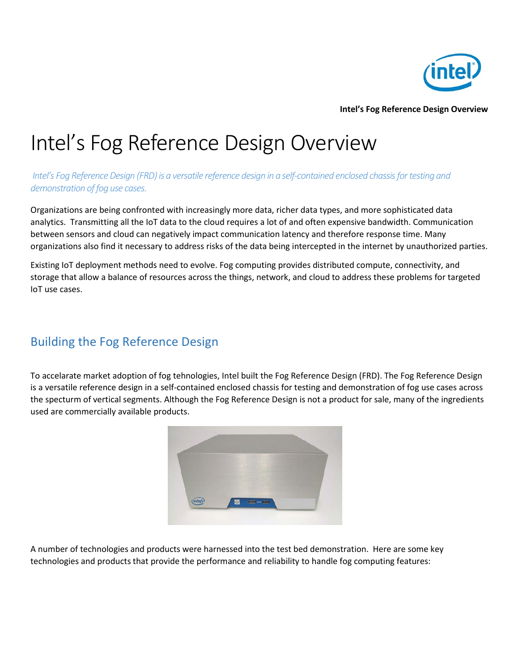

**Intel's Fog Reference Design Overview**

## Intel's Fog Reference Design Overview

*Intel's Fog Reference Design (FRD)is a versatile reference design in a self-contained enclosed chassis for testing and demonstration of fog use cases.*

Organizations are being confronted with increasingly more data, richer data types, and more sophisticated data analytics. Transmitting all the IoT data to the cloud requires a lot of and often expensive bandwidth. Communication between sensors and cloud can negatively impact communication latency and therefore response time. Many organizations also find it necessary to address risks of the data being intercepted in the internet by unauthorized parties.

Existing IoT deployment methods need to evolve. Fog computing provides distributed compute, connectivity, and storage that allow a balance of resources across the things, network, and cloud to address these problems for targeted IoT use cases.

## Building the Fog Reference Design

To accelarate market adoption of fog tehnologies, Intel built the Fog Reference Design (FRD). The Fog Reference Design is a versatile reference design in a self-contained enclosed chassis for testing and demonstration of fog use cases across the specturm of vertical segments. Although the Fog Reference Design is not a product for sale, many of the ingredients used are commercially available products.



A number of technologies and products were harnessed into the test bed demonstration. Here are some key technologies and products that provide the performance and reliability to handle fog computing features: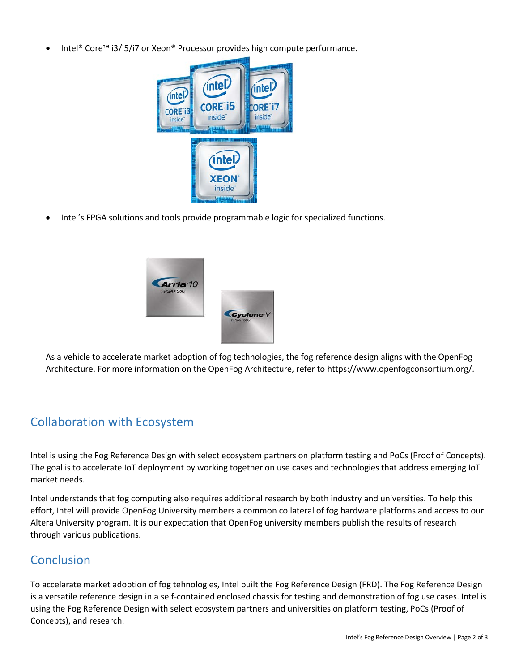• Intel® Core™ i3/i5/i7 or Xeon® Processor provides high compute performance.



• Intel's FPGA solutions and tools provide programmable logic for specialized functions.



As a vehicle to accelerate market adoption of fog technologies, the fog reference design aligns with the OpenFog Architecture. For more information on the OpenFog Architecture, refer to https://www.openfogconsortium.org/.

## Collaboration with Ecosystem

Intel is using the Fog Reference Design with select ecosystem partners on platform testing and PoCs (Proof of Concepts). The goal is to accelerate IoT deployment by working together on use cases and technologies that address emerging IoT market needs.

Intel understands that fog computing also requires additional research by both industry and universities. To help this effort, Intel will provide OpenFog University members a common collateral of fog hardware platforms and access to our Altera University program. It is our expectation that OpenFog university members publish the results of research through various publications.

## **Conclusion**

To accelarate market adoption of fog tehnologies, Intel built the Fog Reference Design (FRD). The Fog Reference Design is a versatile reference design in a self-contained enclosed chassis for testing and demonstration of fog use cases. Intel is using the Fog Reference Design with select ecosystem partners and universities on platform testing, PoCs (Proof of Concepts), and research.